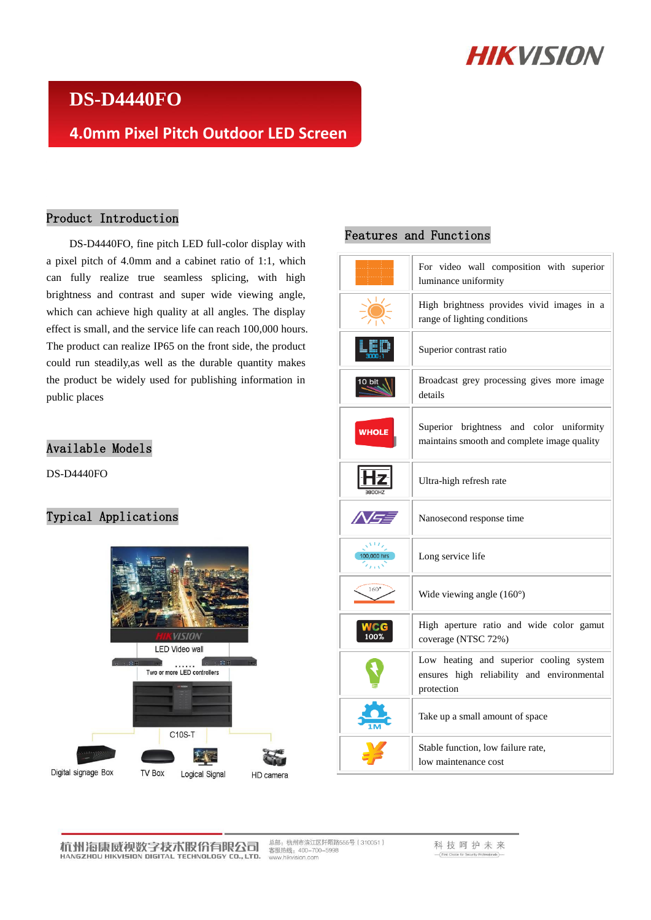# **HIKVISION**

## **DS-D4440FO**

### **4.0mm Pixel Pitch Outdoor LED Screen**

#### Product Introduction

DS-D4440FO, fine pitch LED full-color display with a pixel pitch of 4.0mm and a cabinet ratio of 1:1, which can fully realize true seamless splicing, with high brightness and contrast and super wide viewing angle, which can achieve high quality at all angles. The display effect is small, and the service life can reach 100,000 hours. The product can realize IP65 on the front side, the product could run steadily,as well as the durable quantity makes the product be widely used for publishing information in public places

#### Available Models

DS-D4440FO

#### Typical Applications



#### Features and Functions

|                   | For video wall composition with superior<br>luminance uniformity                                    |  |
|-------------------|-----------------------------------------------------------------------------------------------------|--|
|                   | High brightness provides vivid images in a<br>range of lighting conditions                          |  |
|                   | Superior contrast ratio                                                                             |  |
|                   | Broadcast grey processing gives more image<br>details                                               |  |
| <b>WHOLE</b>      | Superior brightness and color uniformity<br>maintains smooth and complete image quality             |  |
|                   | Ultra-high refresh rate                                                                             |  |
| INS               | Nanosecond response time                                                                            |  |
| رس<br>100,000 hrs | Long service life                                                                                   |  |
| $160^\circ$       | Wide viewing angle $(160)$                                                                          |  |
|                   | High aperture ratio and wide color gamut<br>coverage (NTSC 72%)                                     |  |
|                   | Low heating and superior cooling system<br>ensures high reliability and environmental<br>protection |  |
|                   | Take up a small amount of space                                                                     |  |
|                   | Stable function, low failure rate,<br>low maintenance cost                                          |  |

总部:杭州市滨江区阡陌路555号(310051)<br>客服热线:400–700–5998<br>www.hikvision.com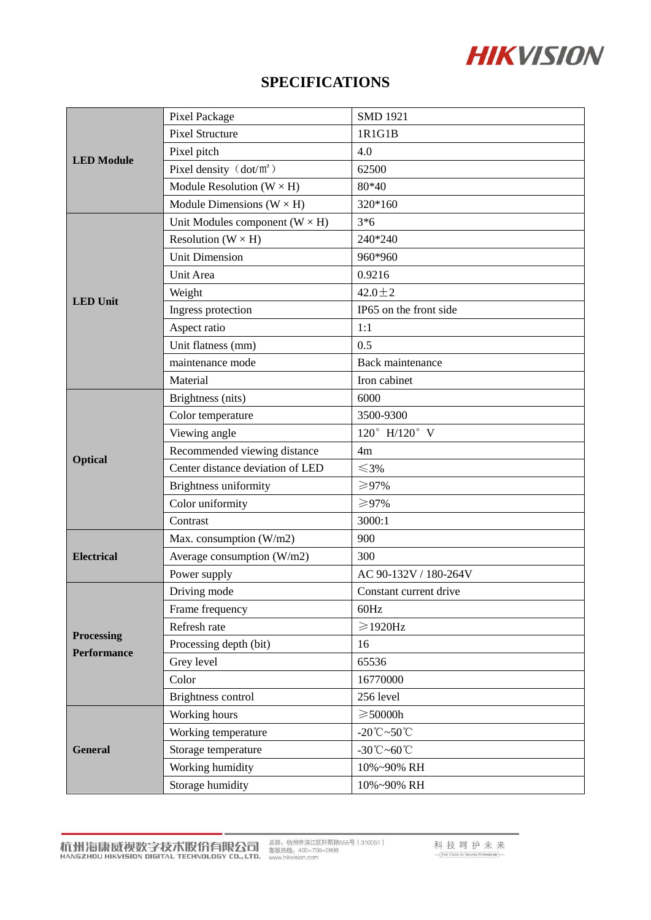# **HIKVISION**

### **SPECIFICATIONS**

| <b>LED</b> Module                | Pixel Package                           | <b>SMD 1921</b>                       |
|----------------------------------|-----------------------------------------|---------------------------------------|
|                                  | <b>Pixel Structure</b>                  | 1R1G1B                                |
|                                  | Pixel pitch                             | 4.0                                   |
|                                  | Pixel density $(dot/m^2)$               | 62500                                 |
|                                  | Module Resolution ( $W \times H$ )      | 80*40                                 |
|                                  | Module Dimensions ( $W \times H$ )      | 320*160                               |
| <b>LED</b> Unit                  | Unit Modules component ( $W \times H$ ) | $3*6$                                 |
|                                  | Resolution ( $W \times H$ )             | 240*240                               |
|                                  | <b>Unit Dimension</b>                   | 960*960                               |
|                                  | Unit Area                               | 0.9216                                |
|                                  | Weight                                  | $42.0 \pm 2$                          |
|                                  | Ingress protection                      | IP65 on the front side                |
|                                  | Aspect ratio                            | 1:1                                   |
|                                  | Unit flatness (mm)                      | 0.5                                   |
|                                  | maintenance mode                        | <b>Back</b> maintenance               |
|                                  | Material                                | Iron cabinet                          |
|                                  | Brightness (nits)                       | 6000                                  |
|                                  | Color temperature                       | 3500-9300                             |
|                                  | Viewing angle                           | $120^{\circ}$ H/120° V                |
| <b>Optical</b>                   | Recommended viewing distance            | 4m                                    |
|                                  | Center distance deviation of LED        | $≤3%$                                 |
|                                  | Brightness uniformity                   | ≥97%                                  |
|                                  | Color uniformity                        | ≥97%                                  |
|                                  | Contrast                                | 3000:1                                |
| <b>Electrical</b>                | Max. consumption (W/m2)                 | 900                                   |
|                                  | Average consumption (W/m2)              | 300                                   |
|                                  | Power supply                            | AC 90-132V / 180-264V                 |
| Processing<br><b>Performance</b> | Driving mode                            | Constant current drive                |
|                                  | Frame frequency                         | 60Hz                                  |
|                                  | Refresh rate                            | $\geqslant$ 1920Hz                    |
|                                  | Processing depth (bit)                  | 16                                    |
|                                  | Grey level                              | 65536                                 |
|                                  | Color                                   | 16770000                              |
|                                  | Brightness control                      | 256 level                             |
| <b>General</b>                   | Working hours                           | $\geqslant$ 50000h                    |
|                                  | Working temperature                     | -20 $\degree$ C $\sim$ 50 $\degree$ C |
|                                  | Storage temperature                     | -30°C~60°C                            |
|                                  | Working humidity                        | 10%~90% RH                            |
|                                  | Storage humidity                        | 10%~90% RH                            |